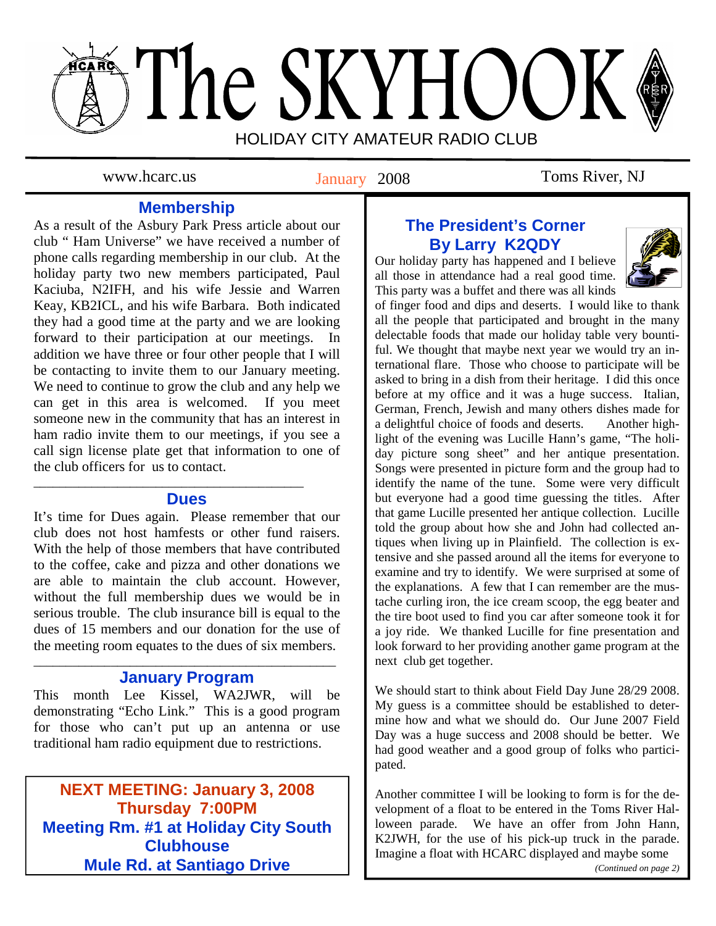# The SKYHOOK HOLIDAY CITY AMATEUR RADIO CLUB

January 2008

www.hcarc.us **Ianuary 2008** Toms River, NJ

# **Membership**

As a result of the Asbury Park Press article about our club " Ham Universe" we have received a number of phone calls regarding membership in our club. At the holiday party two new members participated, Paul Kaciuba, N2IFH, and his wife Jessie and Warren Keay, KB2ICL, and his wife Barbara. Both indicated they had a good time at the party and we are looking forward to their participation at our meetings. In addition we have three or four other people that I will be contacting to invite them to our January meeting. We need to continue to grow the club and any help we can get in this area is welcomed. If you meet someone new in the community that has an interest in ham radio invite them to our meetings, if you see a call sign license plate get that information to one of the club officers for us to contact.

## **Dues**

\_\_\_\_\_\_\_\_\_\_\_\_\_\_\_\_\_\_\_\_\_\_\_\_\_\_\_\_\_\_\_\_\_\_\_\_\_\_\_\_\_\_

It's time for Dues again. Please remember that our club does not host hamfests or other fund raisers. With the help of those members that have contributed to the coffee, cake and pizza and other donations we are able to maintain the club account. However, without the full membership dues we would be in serious trouble. The club insurance bill is equal to the dues of 15 members and our donation for the use of the meeting room equates to the dues of six members.

### \_\_\_\_\_\_\_\_\_\_\_\_\_\_\_\_\_\_\_\_\_\_\_\_\_\_\_\_\_\_\_\_\_\_\_\_\_\_\_\_\_\_\_\_\_\_\_ **January Program**

This month Lee Kissel, WA2JWR, will be demonstrating "Echo Link." This is a good program for those who can't put up an antenna or use traditional ham radio equipment due to restrictions.

**NEXT MEETING: January 3, 2008 Thursday 7:00PM Thursday 7:00PM Meeting Rm. #1 at Holiday City South Meeting Rm. #1 at Holiday City South Clubhouse Clubhouse Mule Rd. at Santiago Drive Mule Rd. at Santiago Drive** 

# **The President's Corner By Larry K2QDY**

Our holiday party has happened and I believe all those in attendance had a real good time. This party was a buffet and there was all kinds



of finger food and dips and deserts. I would like to thank all the people that participated and brought in the many delectable foods that made our holiday table very bountiful. We thought that maybe next year we would try an international flare. Those who choose to participate will be asked to bring in a dish from their heritage. I did this once before at my office and it was a huge success. Italian, German, French, Jewish and many others dishes made for a delightful choice of foods and deserts. Another highlight of the evening was Lucille Hann's game, "The holiday picture song sheet" and her antique presentation. Songs were presented in picture form and the group had to identify the name of the tune. Some were very difficult but everyone had a good time guessing the titles. After that game Lucille presented her antique collection. Lucille told the group about how she and John had collected antiques when living up in Plainfield. The collection is extensive and she passed around all the items for everyone to examine and try to identify. We were surprised at some of the explanations. A few that I can remember are the mustache curling iron, the ice cream scoop, the egg beater and the tire boot used to find you car after someone took it for a joy ride. We thanked Lucille for fine presentation and look forward to her providing another game program at the next club get together.

We should start to think about Field Day June 28/29 2008. My guess is a committee should be established to determine how and what we should do. Our June 2007 Field Day was a huge success and 2008 should be better. We had good weather and a good group of folks who participated.

Another committee I will be looking to form is for the development of a float to be entered in the Toms River Halloween parade. We have an offer from John Hann, K2JWH, for the use of his pick-up truck in the parade. Imagine a float with HCARC displayed and maybe some *(Continued on page 2)*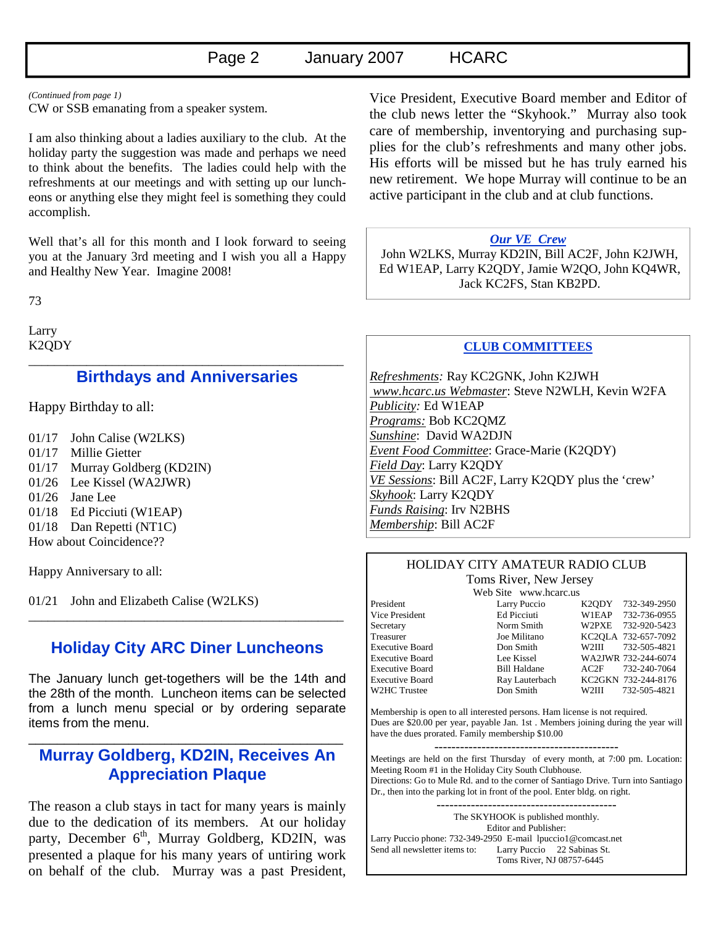#### *(Continued from page 1)*

CW or SSB emanating from a speaker system.

I am also thinking about a ladies auxiliary to the club. At the holiday party the suggestion was made and perhaps we need to think about the benefits. The ladies could help with the refreshments at our meetings and with setting up our luncheons or anything else they might feel is something they could accomplish.

Well that's all for this month and I look forward to seeing you at the January 3rd meeting and I wish you all a Happy and Healthy New Year. Imagine 2008!

73

Larry K2QDY \_\_\_\_\_\_\_\_\_\_\_\_\_\_\_\_\_\_\_\_\_\_\_\_\_\_\_\_\_\_\_\_\_\_\_\_\_\_\_\_\_\_\_\_\_\_\_\_\_

## **Birthdays and Anniversaries**

Happy Birthday to all:

- 01/17 John Calise (W2LKS)
- 01/17 Millie Gietter
- 01/17 Murray Goldberg (KD2IN)
- 01/26 Lee Kissel (WA2JWR)
- 01/26 Jane Lee
- 01/18 Ed Picciuti (W1EAP)
- 01/18 Dan Repetti (NT1C) How about Coincidence??

Happy Anniversary to all:

01/21 John and Elizabeth Calise (W2LKS)

## **Holiday City ARC Diner Luncheons**

\_\_\_\_\_\_\_\_\_\_\_\_\_\_\_\_\_\_\_\_\_\_\_\_\_\_\_\_\_\_\_\_\_\_\_\_\_\_\_\_\_\_\_\_\_\_\_\_\_

The January lunch get-togethers will be the 14th and the 28th of the month. Luncheon items can be selected from a lunch menu special or by ordering separate items from the menu.

## **Murray Goldberg, KD2IN, Receives An Appreciation Plaque**

\_\_\_\_\_\_\_\_\_\_\_\_\_\_\_\_\_\_\_\_\_\_\_\_\_\_\_\_\_\_\_\_\_\_\_\_\_\_\_\_\_\_\_\_

The reason a club stays in tact for many years is mainly due to the dedication of its members. At our holiday party, December 6<sup>th</sup>, Murray Goldberg, KD2IN, was presented a plaque for his many years of untiring work on behalf of the club. Murray was a past President,

Vice President, Executive Board member and Editor of the club news letter the "Skyhook." Murray also took care of membership, inventorying and purchasing supplies for the club's refreshments and many other jobs. His efforts will be missed but he has truly earned his new retirement. We hope Murray will continue to be an active participant in the club and at club functions.

#### *Our VE Crew*

 John W2LKS, Murray KD2IN, Bill AC2F, John K2JWH, Ed W1EAP, Larry K2QDY, Jamie W2QO, John KQ4WR, Jack KC2FS, Stan KB2PD.

### **CLUB COMMITTEES**

*Refreshments:* Ray KC2GNK, John K2JWH  *www.hcarc.us Webmaster*: Steve N2WLH, Kevin W2FA *Publicity:* Ed W1EAP *Programs:* Bob KC2QMZ *Sunshine*: David WA2DJN *Event Food Committee*: Grace-Marie (K2QDY) *Field Day*: Larry K2QDY *VE Sessions*: Bill AC2F, Larry K2QDY plus the 'crew' *Skyhook*: Larry K2QDY *Funds Raising*: Irv N2BHS *Membership*: Bill AC2F

## HOLIDAY CITY AMATEUR RADIO CLUB Toms River, New Jersey

Web Site www.hcarc.us

President Larry Puccio K2QDY 732-349-2950 Vice President Ed Picciuti W1EAP 732-736-0955 Secretary Norm Smith W2PXE 732-920-5423<br>Treasurer Joe Militano KC2OLA 732-657-7092 Treasurer Joe Militano KC2QLA 732-657-7092 Executive Board Don Smith W2III 732-505-4821 Executive Board Lee Kissel WA2JWR 732-244-6074 Executive Board Bill Haldane AC2F 732-240-7064 Executive Board Ray Lauterbach KC2GKN 732-244-8176 W2HC Trustee Don Smith W2III 732-505-4821

Membership is open to all interested persons. Ham license is not required. Dues are \$20.00 per year, payable Jan. 1st . Members joining during the year will have the dues prorated. Family membership \$10.00

Meetings are held on the first Thursday of every month, at 7:00 pm. Location: Meeting Room #1 in the Holiday City South Clubhouse. Directions: Go to Mule Rd. and to the corner of Santiago Drive. Turn into Santiago Dr., then into the parking lot in front of the pool. Enter bldg. on right.

------------------------------------------ The SKYHOOK is published monthly. Editor and Publisher: Larry Puccio phone: 732-349-2950 E-mail lpuccio1@comcast.net<br>Send all newsletter items to: Larry Puccio 22 Sabinas St. Larry Puccio 22 Sabinas St. Toms River, NJ 08757-6445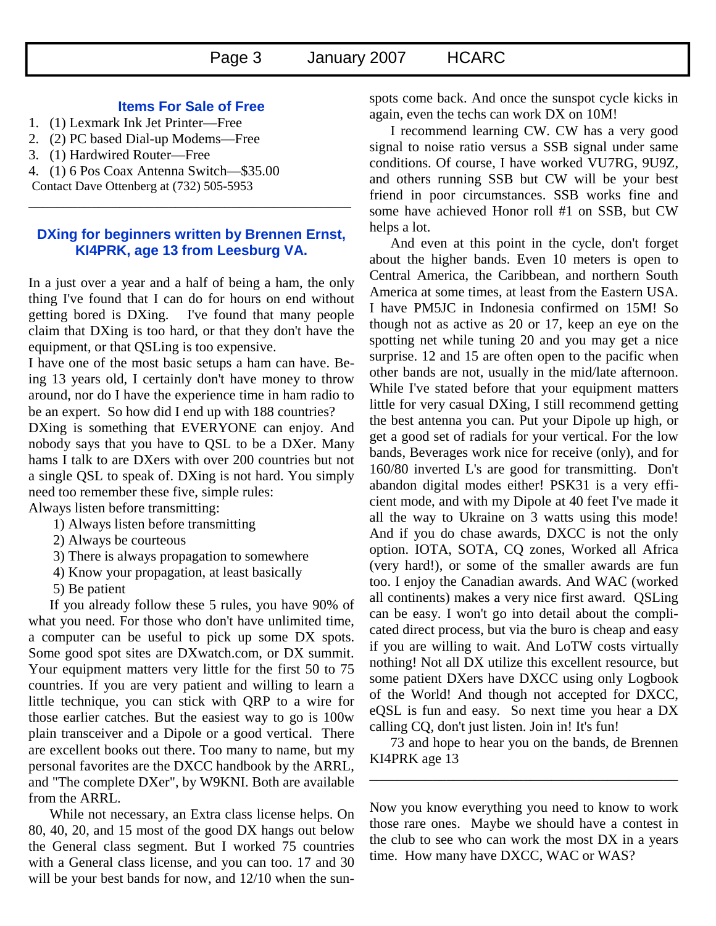#### **Items For Sale of Free**

- 1. (1) Lexmark Ink Jet Printer—Free
- 2. (2) PC based Dial-up Modems—Free
- 3. (1) Hardwired Router—Free
- 4. (1) 6 Pos Coax Antenna Switch—\$35.00
- Contact Dave Ottenberg at (732) 505-5953

#### **DXing for beginners written by Brennen Ernst, KI4PRK, age 13 from Leesburg VA.**

\_\_\_\_\_\_\_\_\_\_\_\_\_\_\_\_\_\_\_\_\_\_\_\_\_\_\_\_\_\_\_\_\_\_\_\_\_\_\_\_\_\_\_\_\_\_

In a just over a year and a half of being a ham, the only thing I've found that I can do for hours on end without getting bored is DXing. I've found that many people claim that DXing is too hard, or that they don't have the equipment, or that QSLing is too expensive.

I have one of the most basic setups a ham can have. Being 13 years old, I certainly don't have money to throw around, nor do I have the experience time in ham radio to be an expert. So how did I end up with 188 countries?

DXing is something that EVERYONE can enjoy. And nobody says that you have to QSL to be a DXer. Many hams I talk to are DXers with over 200 countries but not a single QSL to speak of. DXing is not hard. You simply need too remember these five, simple rules:

Always listen before transmitting:

- 1) Always listen before transmitting
- 2) Always be courteous
- 3) There is always propagation to somewhere
- 4) Know your propagation, at least basically
- 5) Be patient

If you already follow these 5 rules, you have 90% of what you need. For those who don't have unlimited time, a computer can be useful to pick up some DX spots. Some good spot sites are DXwatch.com, or DX summit. Your equipment matters very little for the first 50 to 75 countries. If you are very patient and willing to learn a little technique, you can stick with QRP to a wire for those earlier catches. But the easiest way to go is 100w plain transceiver and a Dipole or a good vertical. There are excellent books out there. Too many to name, but my personal favorites are the DXCC handbook by the ARRL, and "The complete DXer", by W9KNI. Both are available from the ARRL.

While not necessary, an Extra class license helps. On 80, 40, 20, and 15 most of the good DX hangs out below the General class segment. But I worked 75 countries with a General class license, and you can too. 17 and 30 will be your best bands for now, and  $12/10$  when the sunspots come back. And once the sunspot cycle kicks in again, even the techs can work DX on 10M!

I recommend learning CW. CW has a very good signal to noise ratio versus a SSB signal under same conditions. Of course, I have worked VU7RG, 9U9Z, and others running SSB but CW will be your best friend in poor circumstances. SSB works fine and some have achieved Honor roll #1 on SSB, but CW helps a lot.

And even at this point in the cycle, don't forget about the higher bands. Even 10 meters is open to Central America, the Caribbean, and northern South America at some times, at least from the Eastern USA. I have PM5JC in Indonesia confirmed on 15M! So though not as active as 20 or 17, keep an eye on the spotting net while tuning 20 and you may get a nice surprise. 12 and 15 are often open to the pacific when other bands are not, usually in the mid/late afternoon. While I've stated before that your equipment matters little for very casual DXing, I still recommend getting the best antenna you can. Put your Dipole up high, or get a good set of radials for your vertical. For the low bands, Beverages work nice for receive (only), and for 160/80 inverted L's are good for transmitting. Don't abandon digital modes either! PSK31 is a very efficient mode, and with my Dipole at 40 feet I've made it all the way to Ukraine on 3 watts using this mode! And if you do chase awards, DXCC is not the only option. IOTA, SOTA, CQ zones, Worked all Africa (very hard!), or some of the smaller awards are fun too. I enjoy the Canadian awards. And WAC (worked all continents) makes a very nice first award. QSLing can be easy. I won't go into detail about the complicated direct process, but via the buro is cheap and easy if you are willing to wait. And LoTW costs virtually nothing! Not all DX utilize this excellent resource, but some patient DXers have DXCC using only Logbook of the World! And though not accepted for DXCC, eQSL is fun and easy. So next time you hear a DX calling CQ, don't just listen. Join in! It's fun!

73 and hope to hear you on the bands, de Brennen KI4PRK age 13

\_\_\_\_\_\_\_\_\_\_\_\_\_\_\_\_\_\_\_\_\_\_\_\_\_\_\_\_\_\_\_\_\_\_\_\_\_\_\_\_\_\_\_\_

Now you know everything you need to know to work those rare ones. Maybe we should have a contest in the club to see who can work the most DX in a years time. How many have DXCC, WAC or WAS?